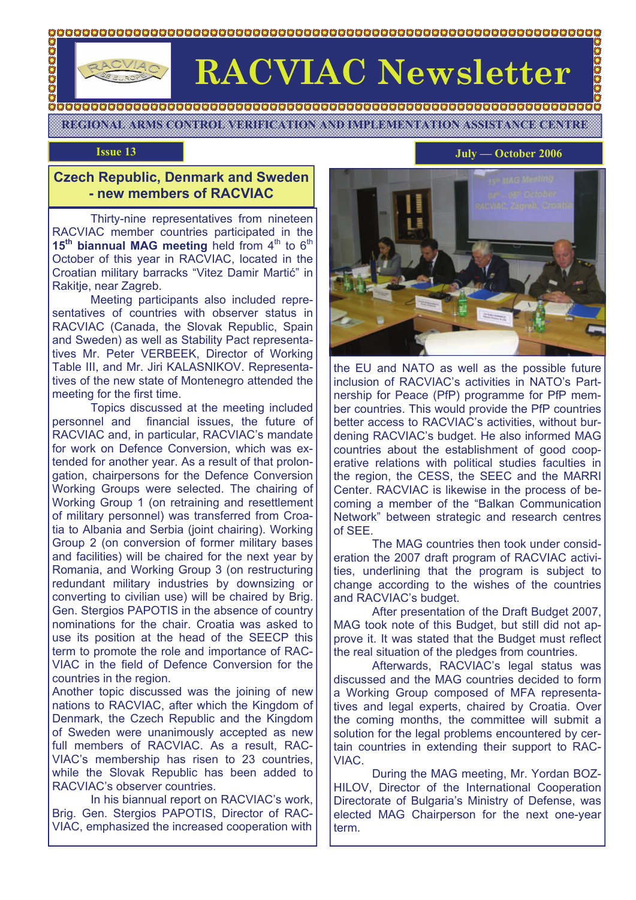# **OOOOOOO**

## **RACVIAC Newsletter**

**REGIONAL ARMS CONTROL VERIFICATION AND IMPLEMENTATION ASSISTANCE CENTRE** 

#### **Czech Republic, Denmark and Sweden - new members of RACVIAC**

 Thirty-nine representatives from nineteen RACVIAC member countries participated in the 15<sup>th</sup> biannual MAG meeting held from 4<sup>th</sup> to 6<sup>th</sup> October of this year in RACVIAC, located in the Croatian military barracks "Vitez Damir Martić" in Rakitje, near Zagreb.

 Meeting participants also included representatives of countries with observer status in RACVIAC (Canada, the Slovak Republic, Spain and Sweden) as well as Stability Pact representatives Mr. Peter VERBEEK, Director of Working Table III, and Mr. Jiri KALASNIKOV. Representatives of the new state of Montenegro attended the meeting for the first time.

 Topics discussed at the meeting included personnel and financial issues, the future of RACVIAC and, in particular, RACVIAC's mandate for work on Defence Conversion, which was extended for another year. As a result of that prolongation, chairpersons for the Defence Conversion Working Groups were selected. The chairing of Working Group 1 (on retraining and resettlement of military personnel) was transferred from Croatia to Albania and Serbia (joint chairing). Working Group 2 (on conversion of former military bases and facilities) will be chaired for the next year by Romania, and Working Group 3 (on restructuring redundant military industries by downsizing or converting to civilian use) will be chaired by Brig. Gen. Stergios PAPOTIS in the absence of country nominations for the chair. Croatia was asked to use its position at the head of the SEECP this term to promote the role and importance of RAC-VIAC in the field of Defence Conversion for the countries in the region.

Another topic discussed was the joining of new nations to RACVIAC, after which the Kingdom of Denmark, the Czech Republic and the Kingdom of Sweden were unanimously accepted as new full members of RACVIAC. As a result, RAC-VIAC's membership has risen to 23 countries, while the Slovak Republic has been added to RACVIAC's observer countries.

 In his biannual report on RACVIAC's work, Brig. Gen. Stergios PAPOTIS, Director of RAC-VIAC, emphasized the increased cooperation with

#### **Issue 13** July — October 2006

OOOO



the EU and NATO as well as the possible future inclusion of RACVIAC's activities in NATO's Partnership for Peace (PfP) programme for PfP member countries. This would provide the PfP countries better access to RACVIAC's activities, without burdening RACVIAC's budget. He also informed MAG countries about the establishment of good cooperative relations with political studies faculties in the region, the CESS, the SEEC and the MARRI Center. RACVIAC is likewise in the process of becoming a member of the "Balkan Communication Network" between strategic and research centres of SEE.

 The MAG countries then took under consideration the 2007 draft program of RACVIAC activities, underlining that the program is subject to change according to the wishes of the countries and RACVIAC's budget.

 After presentation of the Draft Budget 2007, MAG took note of this Budget, but still did not approve it. It was stated that the Budget must reflect the real situation of the pledges from countries.

Afterwards, RACVIAC's legal status was discussed and the MAG countries decided to form a Working Group composed of MFA representatives and legal experts, chaired by Croatia. Over the coming months, the committee will submit a solution for the legal problems encountered by certain countries in extending their support to RAC-VIAC.

 During the MAG meeting, Mr. Yordan BOZ-HILOV, Director of the International Cooperation Directorate of Bulgaria's Ministry of Defense, was elected MAG Chairperson for the next one-year term.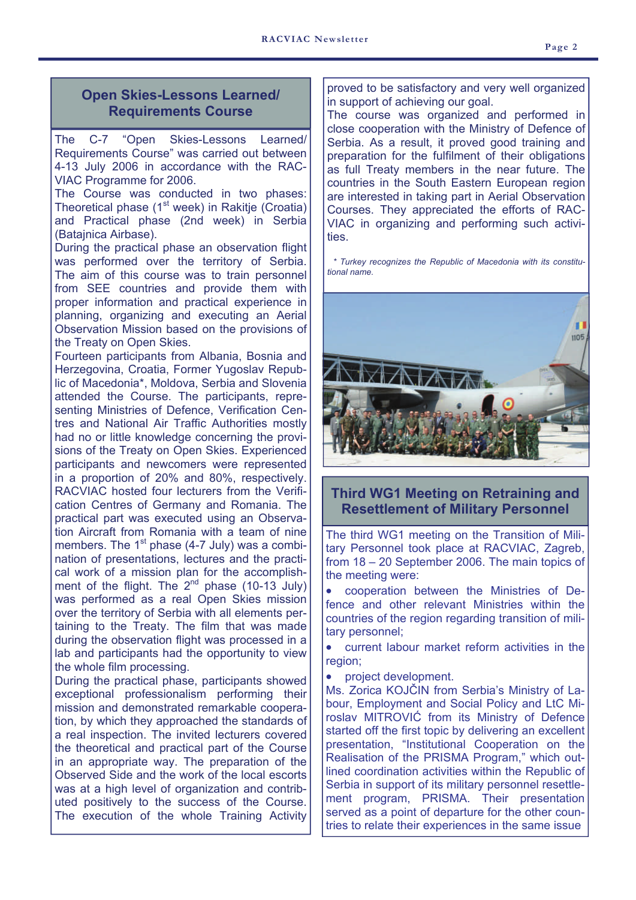#### **Open Skies-Lessons Learned/ Requirements Course**

The C-7 "Open Skies-Lessons Learned/ Requirements Course" was carried out between 4-13 July 2006 in accordance with the RAC-VIAC Programme for 2006.

The Course was conducted in two phases: Theoretical phase  $(1<sup>st</sup> week)$  in Rakitje (Croatia) and Practical phase (2nd week) in Serbia (Batajnica Airbase).

During the practical phase an observation flight was performed over the territory of Serbia. The aim of this course was to train personnel from SEE countries and provide them with proper information and practical experience in planning, organizing and executing an Aerial Observation Mission based on the provisions of the Treaty on Open Skies.

Fourteen participants from Albania, Bosnia and Herzegovina, Croatia, Former Yugoslav Republic of Macedonia\*, Moldova, Serbia and Slovenia attended the Course. The participants, representing Ministries of Defence, Verification Centres and National Air Traffic Authorities mostly had no or little knowledge concerning the provisions of the Treaty on Open Skies. Experienced participants and newcomers were represented in a proportion of 20% and 80%, respectively. RACVIAC hosted four lecturers from the Verification Centres of Germany and Romania. The practical part was executed using an Observation Aircraft from Romania with a team of nine members. The  $1<sup>st</sup>$  phase (4-7 July) was a combination of presentations, lectures and the practical work of a mission plan for the accomplishment of the flight. The  $2^{nd}$  phase (10-13 July) was performed as a real Open Skies mission over the territory of Serbia with all elements pertaining to the Treaty. The film that was made during the observation flight was processed in a lab and participants had the opportunity to view the whole film processing.

During the practical phase, participants showed exceptional professionalism performing their mission and demonstrated remarkable cooperation, by which they approached the standards of a real inspection. The invited lecturers covered the theoretical and practical part of the Course in an appropriate way. The preparation of the Observed Side and the work of the local escorts was at a high level of organization and contributed positively to the success of the Course. The execution of the whole Training Activity

proved to be satisfactory and very well organized in support of achieving our goal.

The course was organized and performed in close cooperation with the Ministry of Defence of Serbia. As a result, it proved good training and preparation for the fulfilment of their obligations as full Treaty members in the near future. The countries in the South Eastern European region are interested in taking part in Aerial Observation Courses. They appreciated the efforts of RAC-VIAC in organizing and performing such activities.

 *\* Turkey recognizes the Republic of Macedonia with its constitutional name.* 



**Third WG1 Meeting on Retraining and Resettlement of Military Personnel**

The third WG1 meeting on the Transition of Military Personnel took place at RACVIAC, Zagreb, from 18 – 20 September 2006. The main topics of the meeting were:

• cooperation between the Ministries of Defence and other relevant Ministries within the countries of the region regarding transition of military personnel;

• current labour market reform activities in the region;

• project development.

Ms. Zorica KOJČIN from Serbia's Ministry of Labour, Employment and Social Policy and LtC Miroslav MITROVIĆ from its Ministry of Defence started off the first topic by delivering an excellent presentation, "Institutional Cooperation on the Realisation of the PRISMA Program," which outlined coordination activities within the Republic of Serbia in support of its military personnel resettlement program, PRISMA. Their presentation served as a point of departure for the other countries to relate their experiences in the same issue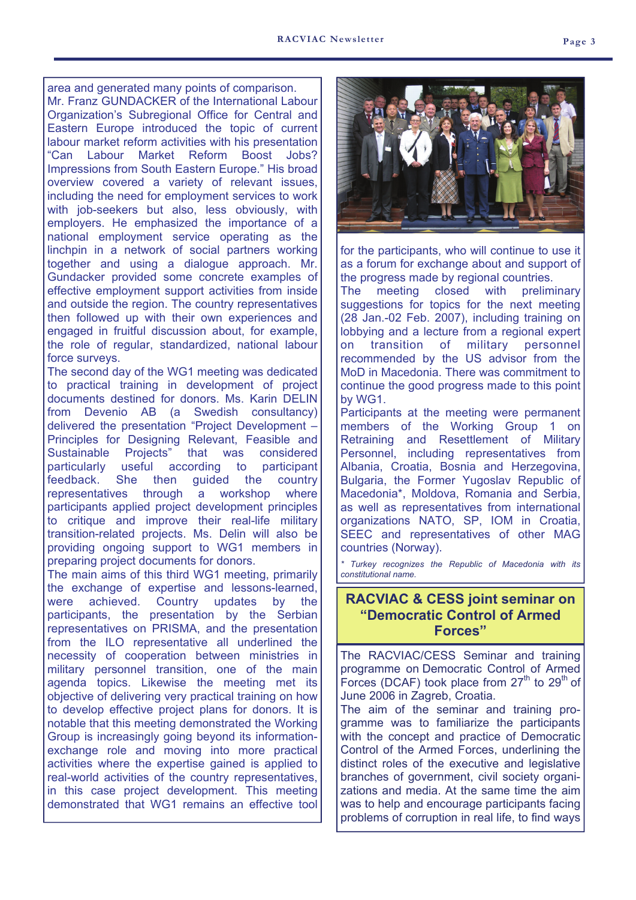area and generated many points of comparison.

Mr. Franz GUNDACKER of the International Labour Organization's Subregional Office for Central and Eastern Europe introduced the topic of current labour market reform activities with his presentation "Can Labour Market Reform Boost Jobs? Impressions from South Eastern Europe." His broad overview covered a variety of relevant issues, including the need for employment services to work with job-seekers but also, less obviously, with employers. He emphasized the importance of a national employment service operating as the linchpin in a network of social partners working together and using a dialogue approach. Mr. Gundacker provided some concrete examples of effective employment support activities from inside and outside the region. The country representatives then followed up with their own experiences and engaged in fruitful discussion about, for example, the role of regular, standardized, national labour force surveys.

The second day of the WG1 meeting was dedicated to practical training in development of project documents destined for donors. Ms. Karin DELIN from Devenio AB (a Swedish consultancy) delivered the presentation "Project Development – Principles for Designing Relevant, Feasible and Sustainable Projects" that was considered particularly useful according to participant feedback. She then guided the country representatives through a workshop where participants applied project development principles to critique and improve their real-life military transition-related projects. Ms. Delin will also be providing ongoing support to WG1 members in preparing project documents for donors.

The main aims of this third WG1 meeting, primarily the exchange of expertise and lessons-learned, were achieved. Country updates by the participants, the presentation by the Serbian representatives on PRISMA, and the presentation from the ILO representative all underlined the necessity of cooperation between ministries in military personnel transition, one of the main agenda topics. Likewise the meeting met its objective of delivering very practical training on how to develop effective project plans for donors. It is notable that this meeting demonstrated the Working Group is increasingly going beyond its informationexchange role and moving into more practical activities where the expertise gained is applied to real-world activities of the country representatives, in this case project development. This meeting demonstrated that WG1 remains an effective tool



for the participants, who will continue to use it as a forum for exchange about and support of the progress made by regional countries.

The meeting closed with preliminary suggestions for topics for the next meeting (28 Jan.-02 Feb. 2007), including training on lobbying and a lecture from a regional expert on transition of military personnel recommended by the US advisor from the MoD in Macedonia. There was commitment to continue the good progress made to this point by WG1.

Participants at the meeting were permanent members of the Working Group 1 on Retraining and Resettlement of Military Personnel, including representatives from Albania, Croatia, Bosnia and Herzegovina, Bulgaria, the Former Yugoslav Republic of Macedonia\*, Moldova, Romania and Serbia, as well as representatives from international organizations NATO, SP, IOM in Croatia, SEEC and representatives of other MAG countries (Norway).

*\* Turkey recognizes the Republic of Macedonia with its constitutional name.*

#### **RACVIAC & CESS joint seminar on "Democratic Control of Armed Forces"**

The RACVIAC/CESS Seminar and training programme on Democratic Control of Armed Forces (DCAF) took place from  $27<sup>th</sup>$  to  $29<sup>th</sup>$  of June 2006 in Zagreb, Croatia.

The aim of the seminar and training programme was to familiarize the participants with the concept and practice of Democratic Control of the Armed Forces, underlining the distinct roles of the executive and legislative branches of government, civil society organizations and media. At the same time the aim was to help and encourage participants facing problems of corruption in real life, to find ways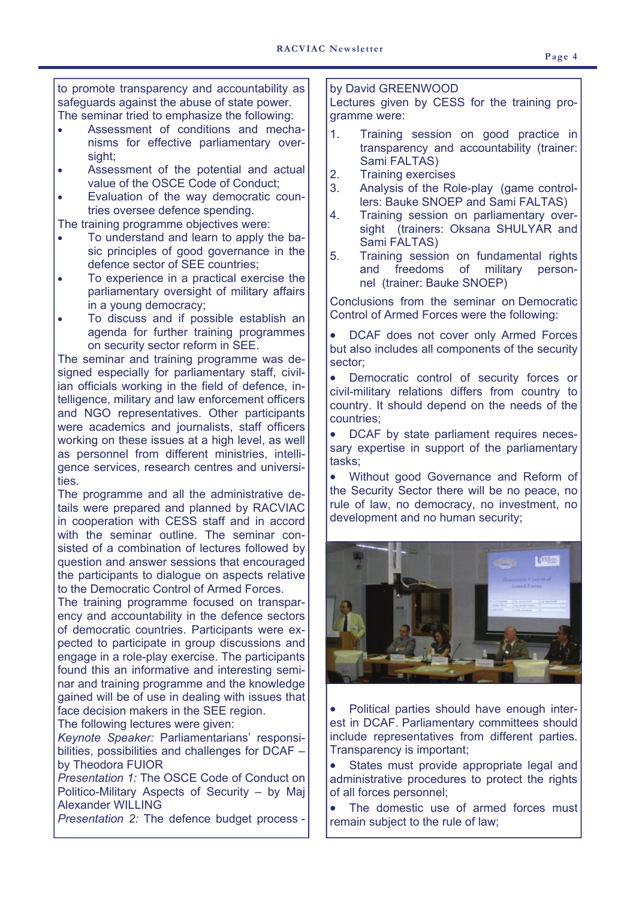to promote transparency and accountability as safeguards against the abuse of state power. The seminar tried to emphasize the following:

- Assessment of conditions and mechanisms for effective parliamentary oversight:
- Assessment of the potential and actual value of the OSCE Code of Conduct;
- Evaluation of the way democratic countries oversee defence spending.

The training programme objectives were:

- To understand and learn to apply the basic principles of good governance in the defence sector of SEE countries;
- To experience in a practical exercise the parliamentary oversight of military affairs in a young democracy;
- To discuss and if possible establish an agenda for further training programmes on security sector reform in SEE.

The seminar and training programme was designed especially for parliamentary staff, civilian officials working in the field of defence, intelligence, military and law enforcement officers and NGO representatives. Other participants were academics and journalists, staff officers working on these issues at a high level, as well as personnel from different ministries, intelligence services, research centres and universities.

The programme and all the administrative details were prepared and planned by RACVIAC in cooperation with CESS staff and in accord with the seminar outline. The seminar consisted of a combination of lectures followed by question and answer sessions that encouraged the participants to dialogue on aspects relative to the Democratic Control of Armed Forces.

The training programme focused on transparency and accountability in the defence sectors of democratic countries. Participants were expected to participate in group discussions and engage in a role-play exercise. The participants found this an informative and interesting seminar and training programme and the knowledge gained will be of use in dealing with issues that face decision makers in the SEE region.

The following lectures were given:

*Keynote Speaker:* Parliamentarians' responsibilities, possibilities and challenges for DCAF – by Theodora FUIOR

*Presentation 1:* The OSCE Code of Conduct on Politico-Military Aspects of Security – by Maj Alexander WILLING

*Presentation 2:* The defence budget process -

#### by David GREENWOOD

Lectures given by CESS for the training programme were:

- 1. Training session on good practice in transparency and accountability (trainer: Sami FALTAS)
- 2. Training exercises
- 3. Analysis of the Role-play (game controllers: Bauke SNOEP and Sami FALTAS)
- 4. Training session on parliamentary oversight (trainers: Oksana SHULYAR and Sami FALTAS)
- 5. Training session on fundamental rights and freedoms of military personnel (trainer: Bauke SNOEP)

Conclusions from the seminar on Democratic Control of Armed Forces were the following:

• DCAF does not cover only Armed Forces but also includes all components of the security sector;

• Democratic control of security forces or civil-military relations differs from country to country. It should depend on the needs of the countries;

• DCAF by state parliament requires necessary expertise in support of the parliamentary tasks;

• Without good Governance and Reform of the Security Sector there will be no peace, no rule of law, no democracy, no investment, no development and no human security;



• Political parties should have enough interest in DCAF. Parliamentary committees should include representatives from different parties. Transparency is important;

• States must provide appropriate legal and administrative procedures to protect the rights of all forces personnel;

• The domestic use of armed forces must remain subject to the rule of law;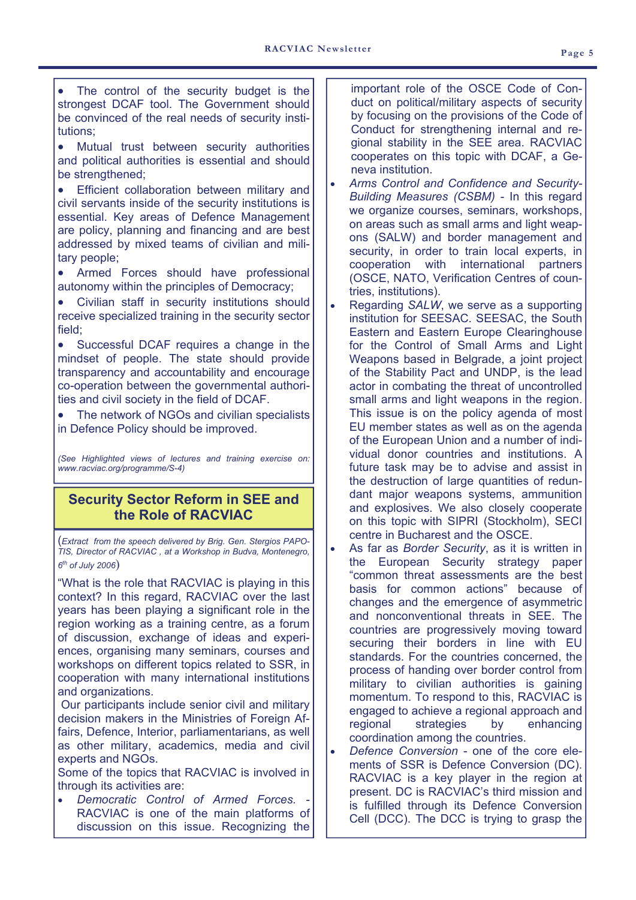- The control of the security budget is the strongest DCAF tool. The Government should be convinced of the real needs of security institutions;
- Mutual trust between security authorities and political authorities is essential and should be strengthened;
- Efficient collaboration between military and civil servants inside of the security institutions is essential. Key areas of Defence Management are policy, planning and financing and are best addressed by mixed teams of civilian and military people;
- Armed Forces should have professional autonomy within the principles of Democracy;
- Civilian staff in security institutions should receive specialized training in the security sector field;

• Successful DCAF requires a change in the mindset of people. The state should provide transparency and accountability and encourage co-operation between the governmental authorities and civil society in the field of DCAF.

The network of NGOs and civilian specialists in Defence Policy should be improved.

*(See Highlighted views of lectures and training exercise on: www.racviac.org/programme/S-4)* 

#### **Security Sector Reform in SEE and the Role of RACVIAC**

(*Extract from the speech delivered by Brig. Gen. Stergios PAPO-TIS, Director of RACVIAC , at a Workshop in Budva, Montenegro, <sup>6</sup>th of July 2006*)

"What is the role that RACVIAC is playing in this context? In this regard, RACVIAC over the last years has been playing a significant role in the region working as a training centre, as a forum of discussion, exchange of ideas and experiences, organising many seminars, courses and workshops on different topics related to SSR, in cooperation with many international institutions and organizations.

 Our participants include senior civil and military decision makers in the Ministries of Foreign Affairs, Defence, Interior, parliamentarians, as well as other military, academics, media and civil experts and NGOs.

Some of the topics that RACVIAC is involved in through its activities are:

• *Democratic Control of Armed Forces. -* RACVIAC is one of the main platforms of discussion on this issue. Recognizing the

important role of the OSCE Code of Conduct on political/military aspects of security by focusing on the provisions of the Code of Conduct for strengthening internal and regional stability in the SEE area. RACVIAC cooperates on this topic with DCAF, a Geneva institution.

- *Arms Control and Confidence and Security-Building Measures (CSBM)* - In this regard we organize courses, seminars, workshops, on areas such as small arms and light weapons (SALW) and border management and security, in order to train local experts, in cooperation with international partners (OSCE, NATO, Verification Centres of countries, institutions).
- Regarding *SALW*, we serve as a supporting institution for SEESAC. SEESAC, the South Eastern and Eastern Europe Clearinghouse for the Control of Small Arms and Light Weapons based in Belgrade, a joint project of the Stability Pact and UNDP, is the lead actor in combating the threat of uncontrolled small arms and light weapons in the region. This issue is on the policy agenda of most EU member states as well as on the agenda of the European Union and a number of individual donor countries and institutions. A future task may be to advise and assist in the destruction of large quantities of redundant major weapons systems, ammunition and explosives. We also closely cooperate on this topic with SIPRI (Stockholm), SECI centre in Bucharest and the OSCE.
- As far as *Border Security*, as it is written in the European Security strategy paper "common threat assessments are the best basis for common actions" because of changes and the emergence of asymmetric and nonconventional threats in SEE. The countries are progressively moving toward securing their borders in line with EU standards. For the countries concerned, the process of handing over border control from military to civilian authorities is gaining momentum. To respond to this, RACVIAC is engaged to achieve a regional approach and regional strategies by enhancing coordination among the countries.
- *Defence Conversion*  one of the core elements of SSR is Defence Conversion (DC). RACVIAC is a key player in the region at present. DC is RACVIAC's third mission and is fulfilled through its Defence Conversion Cell (DCC). The DCC is trying to grasp the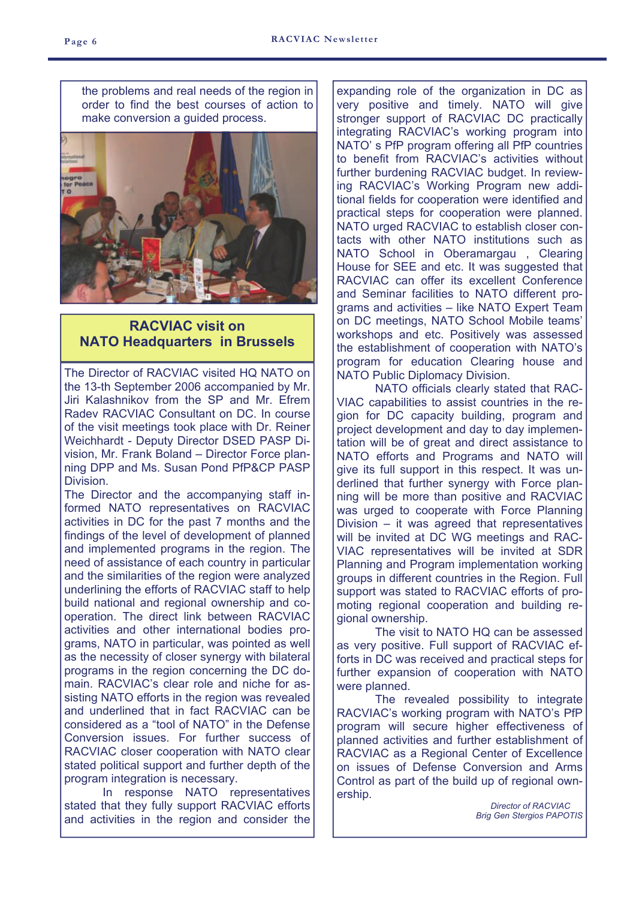the problems and real needs of the region in order to find the best courses of action to make conversion a guided process.



#### **RACVIAC visit on NATO Headquarters in Brussels**

The Director of RACVIAC visited HQ NATO on the 13-th September 2006 accompanied by Mr. Jiri Kalashnikov from the SP and Mr. Efrem Radev RACVIAC Consultant on DC. In course of the visit meetings took place with Dr. Reiner Weichhardt - Deputy Director DSED PASP Division, Mr. Frank Boland – Director Force planning DPP and Ms. Susan Pond PfP&CP PASP Division.

The Director and the accompanying staff informed NATO representatives on RACVIAC activities in DC for the past 7 months and the findings of the level of development of planned and implemented programs in the region. The need of assistance of each country in particular and the similarities of the region were analyzed underlining the efforts of RACVIAC staff to help build national and regional ownership and cooperation. The direct link between RACVIAC activities and other international bodies programs, NATO in particular, was pointed as well as the necessity of closer synergy with bilateral programs in the region concerning the DC domain. RACVIAC's clear role and niche for assisting NATO efforts in the region was revealed and underlined that in fact RACVIAC can be considered as a "tool of NATO" in the Defense Conversion issues. For further success of RACVIAC closer cooperation with NATO clear stated political support and further depth of the program integration is necessary.

 In response NATO representatives stated that they fully support RACVIAC efforts and activities in the region and consider the expanding role of the organization in DC as very positive and timely. NATO will give stronger support of RACVIAC DC practically integrating RACVIAC's working program into NATO' s PfP program offering all PfP countries to benefit from RACVIAC's activities without further burdening RACVIAC budget. In reviewing RACVIAC's Working Program new additional fields for cooperation were identified and practical steps for cooperation were planned. NATO urged RACVIAC to establish closer contacts with other NATO institutions such as NATO School in Oberamargau , Clearing House for SEE and etc. It was suggested that RACVIAC can offer its excellent Conference and Seminar facilities to NATO different programs and activities – like NATO Expert Team on DC meetings, NATO School Mobile teams' workshops and etc. Positively was assessed the establishment of cooperation with NATO's program for education Clearing house and NATO Public Diplomacy Division.

 NATO officials clearly stated that RAC-VIAC capabilities to assist countries in the region for DC capacity building, program and project development and day to day implementation will be of great and direct assistance to NATO efforts and Programs and NATO will give its full support in this respect. It was underlined that further synergy with Force planning will be more than positive and RACVIAC was urged to cooperate with Force Planning Division – it was agreed that representatives will be invited at DC WG meetings and RAC-VIAC representatives will be invited at SDR Planning and Program implementation working groups in different countries in the Region. Full support was stated to RACVIAC efforts of promoting regional cooperation and building regional ownership.

 The visit to NATO HQ can be assessed as very positive. Full support of RACVIAC efforts in DC was received and practical steps for further expansion of cooperation with NATO were planned.

 The revealed possibility to integrate RACVIAC's working program with NATO's PfP program will secure higher effectiveness of planned activities and further establishment of RACVIAC as a Regional Center of Excellence on issues of Defense Conversion and Arms Control as part of the build up of regional ownership.

> *Director of RACVIAC Brig Gen Stergios PAPOTIS*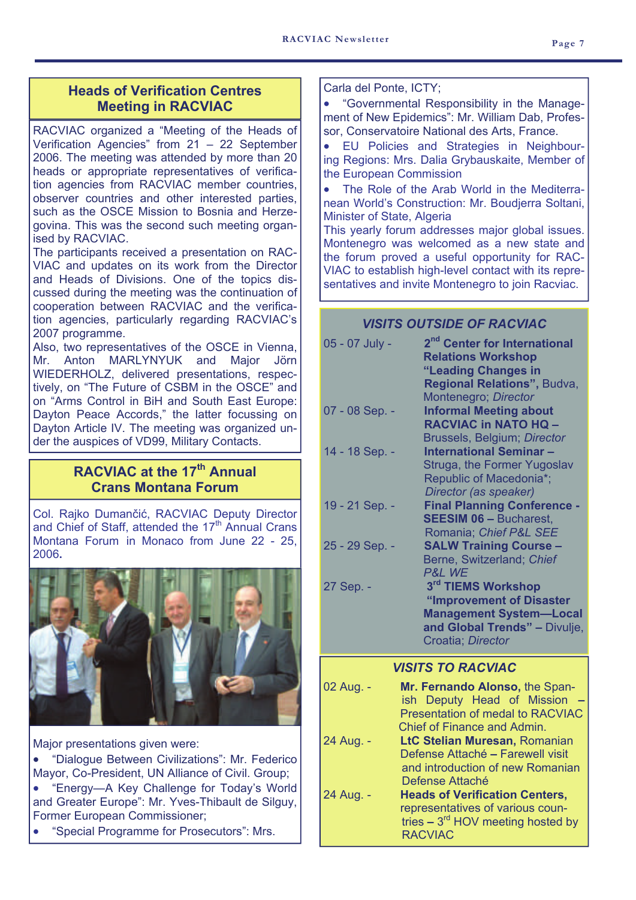#### **Heads of Verification Centres Meeting in RACVIAC**

RACVIAC organized a "Meeting of the Heads of Verification Agencies" from 21 – 22 September 2006. The meeting was attended by more than 20 heads or appropriate representatives of verification agencies from RACVIAC member countries, observer countries and other interested parties, such as the OSCE Mission to Bosnia and Herzegovina. This was the second such meeting organised by RACVIAC.

The participants received a presentation on RAC-VIAC and updates on its work from the Director and Heads of Divisions. One of the topics discussed during the meeting was the continuation of cooperation between RACVIAC and the verification agencies, particularly regarding RACVIAC's 2007 programme.

Also, two representatives of the OSCE in Vienna, Mr. Anton MARLYNYUK and Major Jörn WIEDERHOLZ, delivered presentations, respectively, on "The Future of CSBM in the OSCE" and on "Arms Control in BiH and South East Europe: Dayton Peace Accords," the latter focussing on Dayton Article IV. The meeting was organized under the auspices of VD99, Military Contacts.

### **RACVIAC at the 17th Annual Crans Montana Forum**

Col. Rajko Dumančić, RACVIAC Deputy Director and Chief of Staff, attended the 17<sup>th</sup> Annual Crans Montana Forum in Monaco from June 22 - 25, 2006**.** 



Major presentations given were:

• "Dialogue Between Civilizations": Mr. Federico Mayor, Co-President, UN Alliance of Civil. Group;

- "Energy—A Key Challenge for Today's World and Greater Europe": Mr. Yves-Thibault de Silguy, Former European Commissioner;
- "Special Programme for Prosecutors": Mrs.

Carla del Ponte, ICTY;

• "Governmental Responsibility in the Management of New Epidemics": Mr. William Dab, Professor, Conservatoire National des Arts, France.

• EU Policies and Strategies in Neighbouring Regions: Mrs. Dalia Grybauskaite, Member of the European Commission

• The Role of the Arab World in the Mediterranean World's Construction: Mr. Boudjerra Soltani, Minister of State, Algeria

This yearly forum addresses major global issues. Montenegro was welcomed as a new state and the forum proved a useful opportunity for RAC-VIAC to establish high-level contact with its representatives and invite Montenegro to join Racviac.

#### *VISITS OUTSIDE OF RACVIAC*

| 05 - 07 July -                  | 2 <sup>nd</sup> Center for International<br><b>Relations Workshop</b><br>"Leading Changes in<br>Regional Relations", Budva,<br>Montenegro; Director |  |  |  |
|---------------------------------|-----------------------------------------------------------------------------------------------------------------------------------------------------|--|--|--|
| 07 - 08 Sep. -                  | <b>Informal Meeting about</b><br><b>RACVIAC in NATO HQ -</b><br>Brussels, Belgium; Director                                                         |  |  |  |
| 14 - 18 Sep. -                  | <b>International Seminar-</b><br>Struga, the Former Yugoslav<br>Republic of Macedonia*;<br>Director (as speaker)                                    |  |  |  |
| 19 - 21 Sep. -                  | <b>Final Planning Conference -</b><br><b>SEESIM 06 - Bucharest,</b><br>Romania; Chief P&L SEE                                                       |  |  |  |
| 25 - 29 Sep. -                  | <b>SALW Training Course -</b><br>Berne, Switzerland; Chief<br>P&L WE                                                                                |  |  |  |
| 27 Sep. -                       | 3rd TIEMS Workshop<br>"Improvement of Disaster<br><b>Management System-Local</b><br>and Global Trends" - Divulje,<br>Croatia; Director              |  |  |  |
| <i><b>VISITS TO RACVIAC</b></i> |                                                                                                                                                     |  |  |  |

| 02 Aug. - | Mr. Fernando Alonso, the Span-<br>ish Deputy Head of Mission |
|-----------|--------------------------------------------------------------|
|           | <b>Presentation of medal to RACVIAC</b>                      |
|           | <b>Chief of Finance and Admin.</b>                           |
| 24 Aug. - | LtC Stelian Muresan, Romanian                                |
|           | Defense Attaché - Farewell visit                             |
|           | and introduction of new Romanian                             |
|           | Defense Attaché                                              |
| 24 Aug. - | <b>Heads of Verification Centers,</b>                        |
|           | representatives of various coun-                             |
|           | tries $-3^{rd}$ HOV meeting hosted by                        |
|           | <b>RACVIAC</b>                                               |